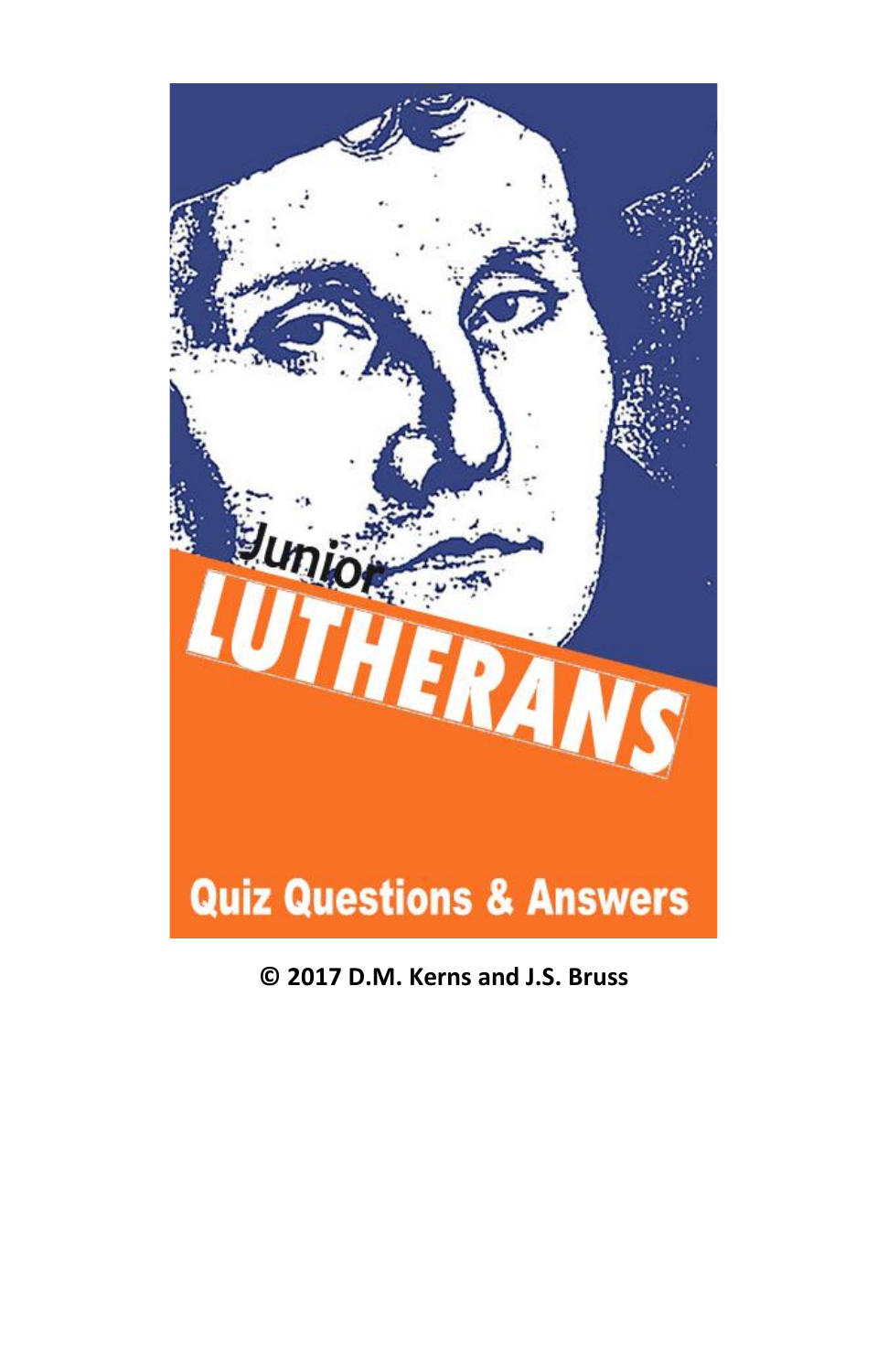

**© 2017 D.M. Kerns and J.S. Bruss**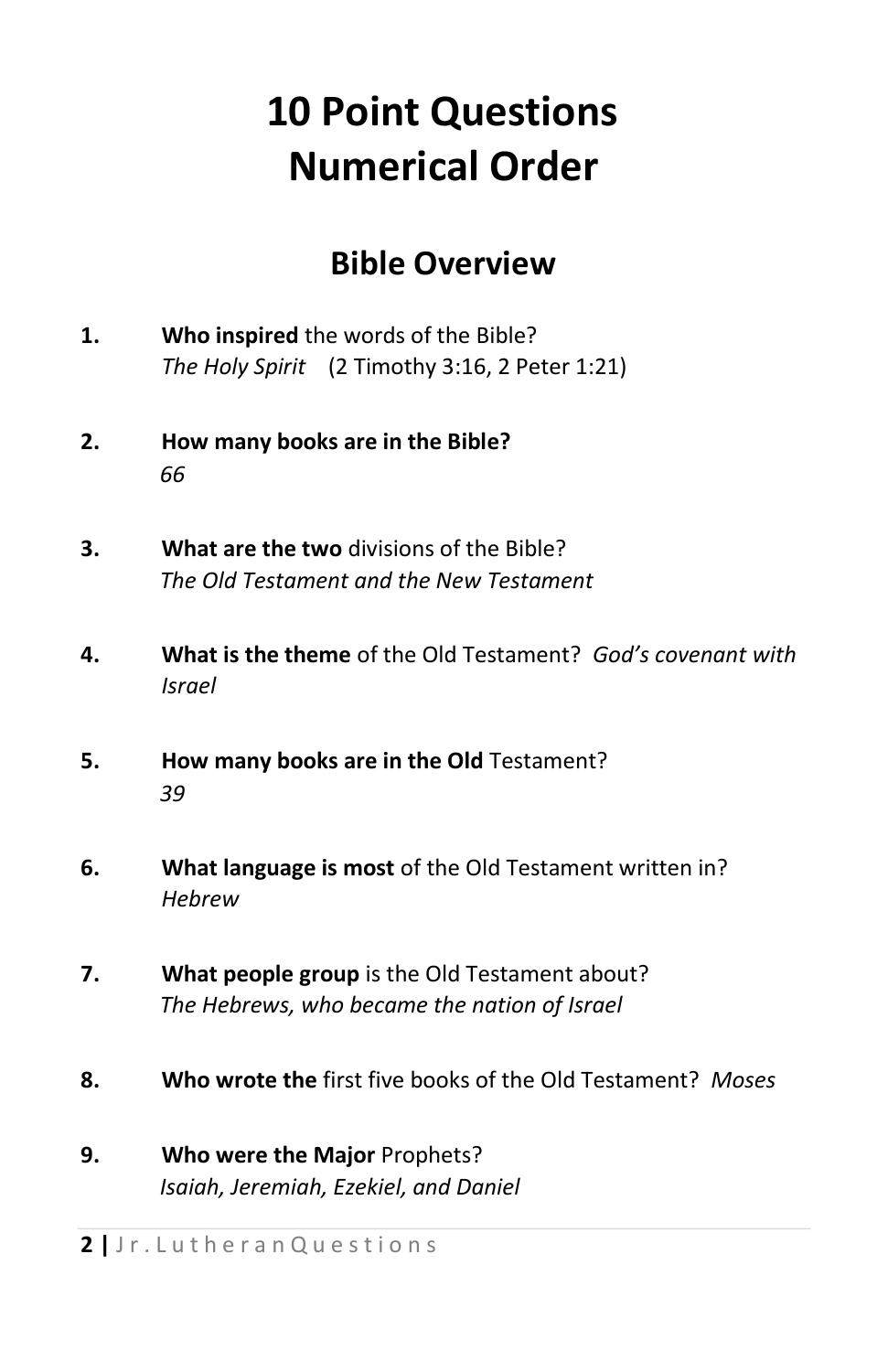### **10 Point Questions Numerical Order**

#### **Bible Overview**

- **1. Who inspired** the words of the Bible? *The Holy Spirit* (2 Timothy 3:16, 2 Peter 1:21)
- **2. How many books are in the Bible?** *66*
- **3. What are the two** divisions of the Bible? *The Old Testament and the New Testament*
- **4. What is the theme** of the Old Testament? *God's covenant with Israel*
- **5. How many books are in the Old** Testament? *39*
- **6. What language is most** of the Old Testament written in? *Hebrew*
- **7. What people group** is the Old Testament about? *The Hebrews, who became the nation of Israel*
- **8. Who wrote the** first five books of the Old Testament? *Moses*
- **9. Who were the Major** Prophets? *Isaiah, Jeremiah, Ezekiel, and Daniel*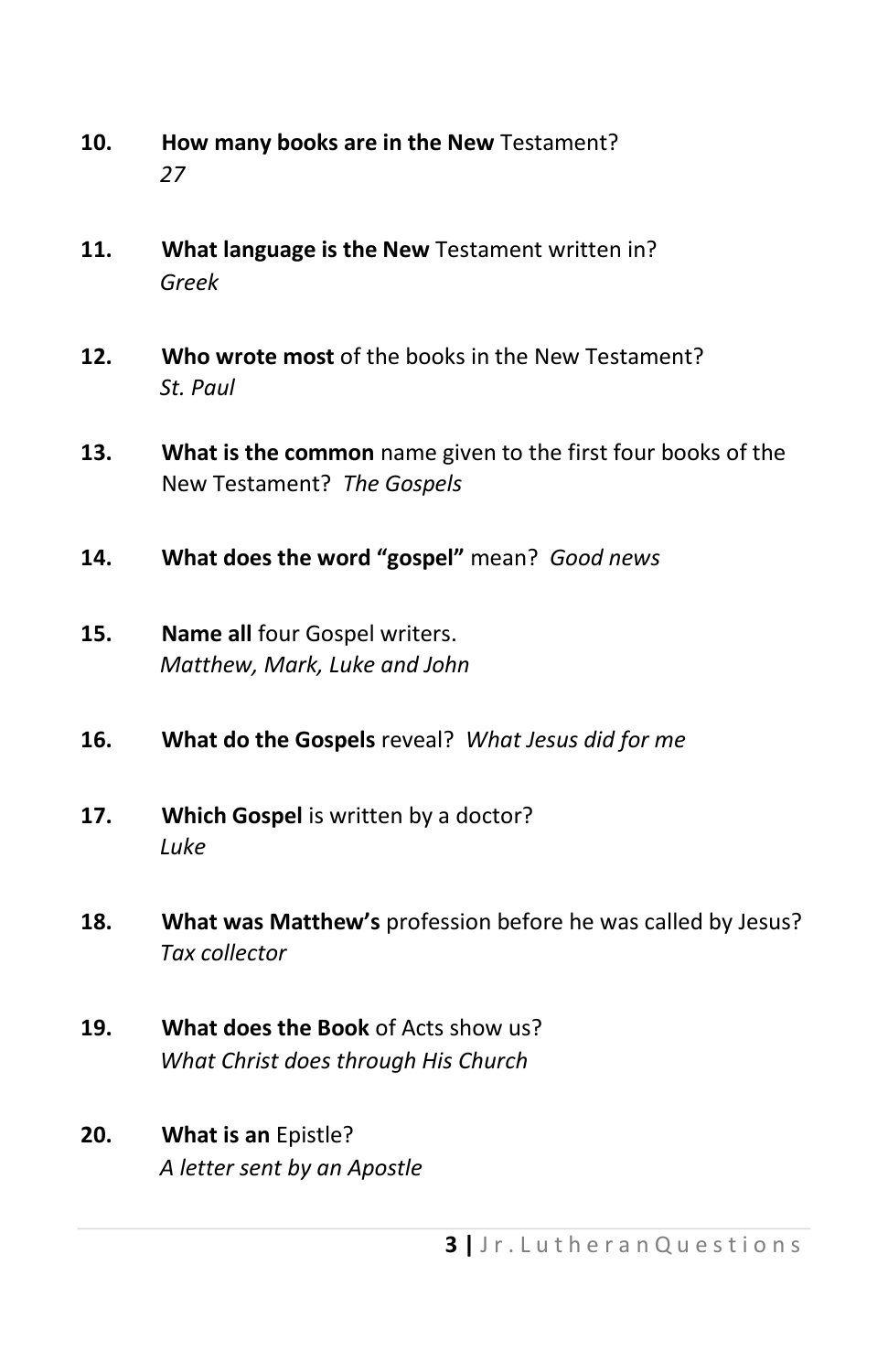- **10. How many books are in the New** Testament? *27*
- **11. What language is the New** Testament written in? *Greek*
- **12. Who wrote most** of the books in the New Testament? *St. Paul*
- **13. What is the common** name given to the first four books of the New Testament? *The Gospels*
- **14. What does the word "gospel"** mean? *Good news*
- **15. Name all** four Gospel writers. *Matthew, Mark, Luke and John*
- **16. What do the Gospels** reveal? *What Jesus did for me*
- **17. Which Gospel** is written by a doctor? *Luke*
- **18. What was Matthew's** profession before he was called by Jesus? *Tax collector*
- **19. What does the Book** of Acts show us? *What Christ does through His Church*
- **20. What is an** Epistle? *A letter sent by an Apostle*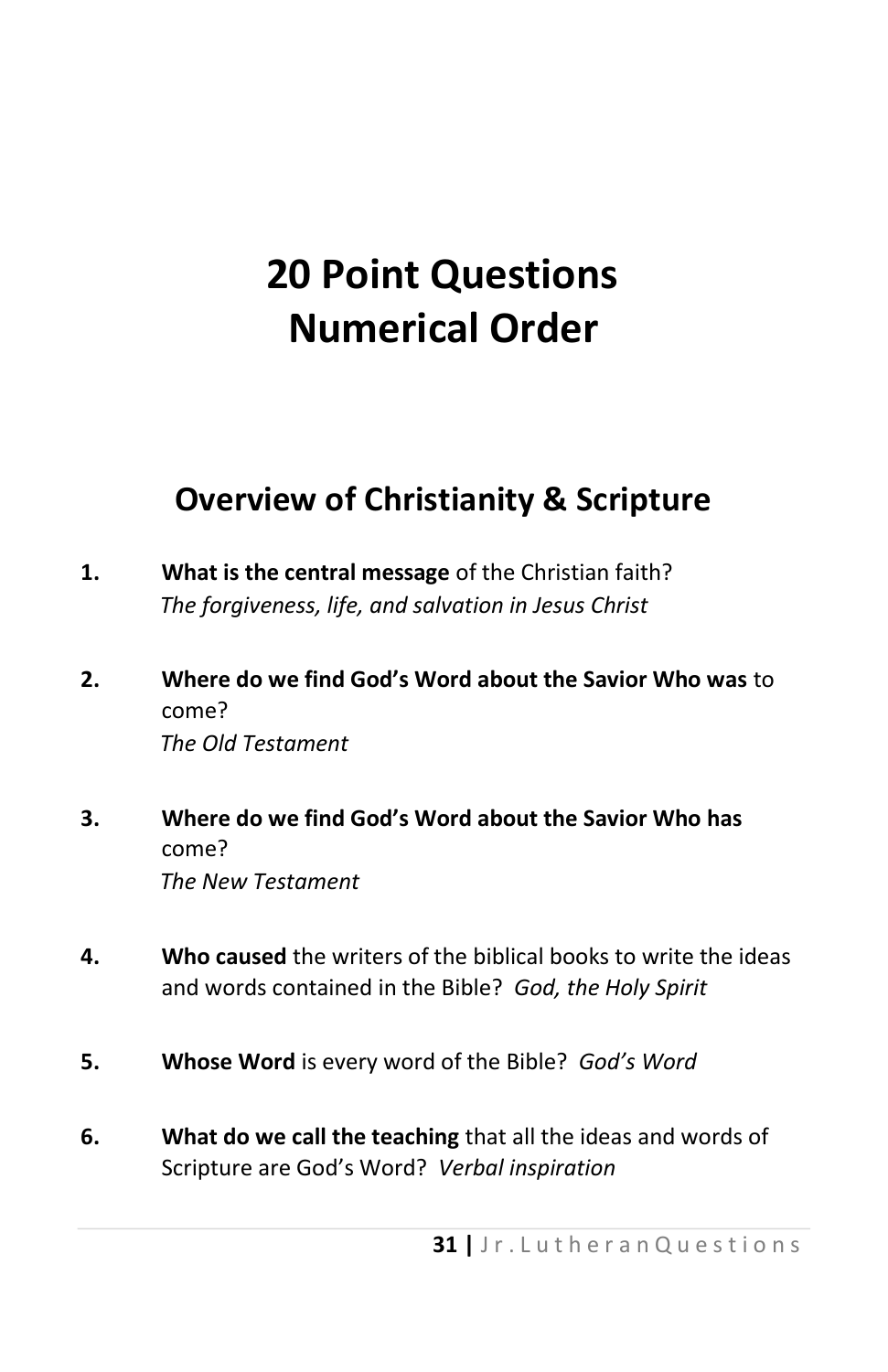### **20 Point Questions Numerical Order**

#### **Overview of Christianity & Scripture**

- **1. What is the central message** of the Christian faith? *The forgiveness, life, and salvation in Jesus Christ*
- **2. Where do we find God's Word about the Savior Who was** to come? *The Old Testament*
- **3. Where do we find God's Word about the Savior Who has** come? *The New Testament*
- **4. Who caused** the writers of the biblical books to write the ideas and words contained in the Bible? *God, the Holy Spirit*
- **5. Whose Word** is every word of the Bible? *God's Word*
- **6. What do we call the teaching** that all the ideas and words of Scripture are God's Word? *Verbal inspiration*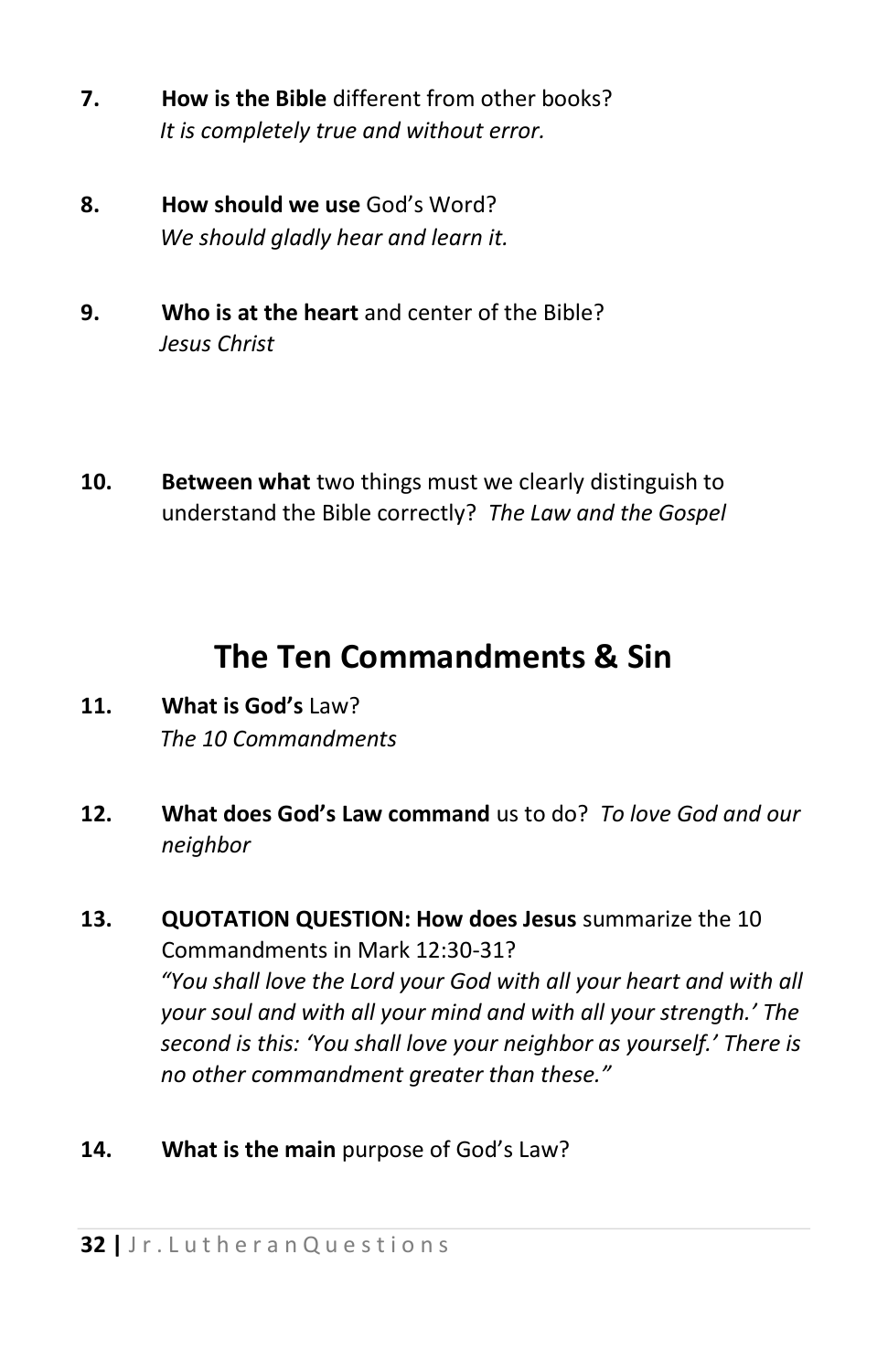- **7. How is the Bible** different from other books? *It is completely true and without error.*
- **8. How should we use** God's Word? *We should gladly hear and learn it.*
- **9. Who is at the heart** and center of the Bible? *Jesus Christ*
- **10. Between what** two things must we clearly distinguish to understand the Bible correctly? *The Law and the Gospel*

### **The Ten Commandments & Sin**

- **11. What is God's** Law? *The 10 Commandments*
- **12. What does God's Law command** us to do? *To love God and our neighbor*
- **13. QUOTATION QUESTION: How does Jesus** summarize the 10 Commandments in Mark 12:30-31? *"You shall love the Lord your God with all your heart and with all your soul and with all your mind and with all your strength.' The second is this: 'You shall love your neighbor as yourself.' There is no other commandment greater than these."*
- **14. What is the main** purpose of God's Law?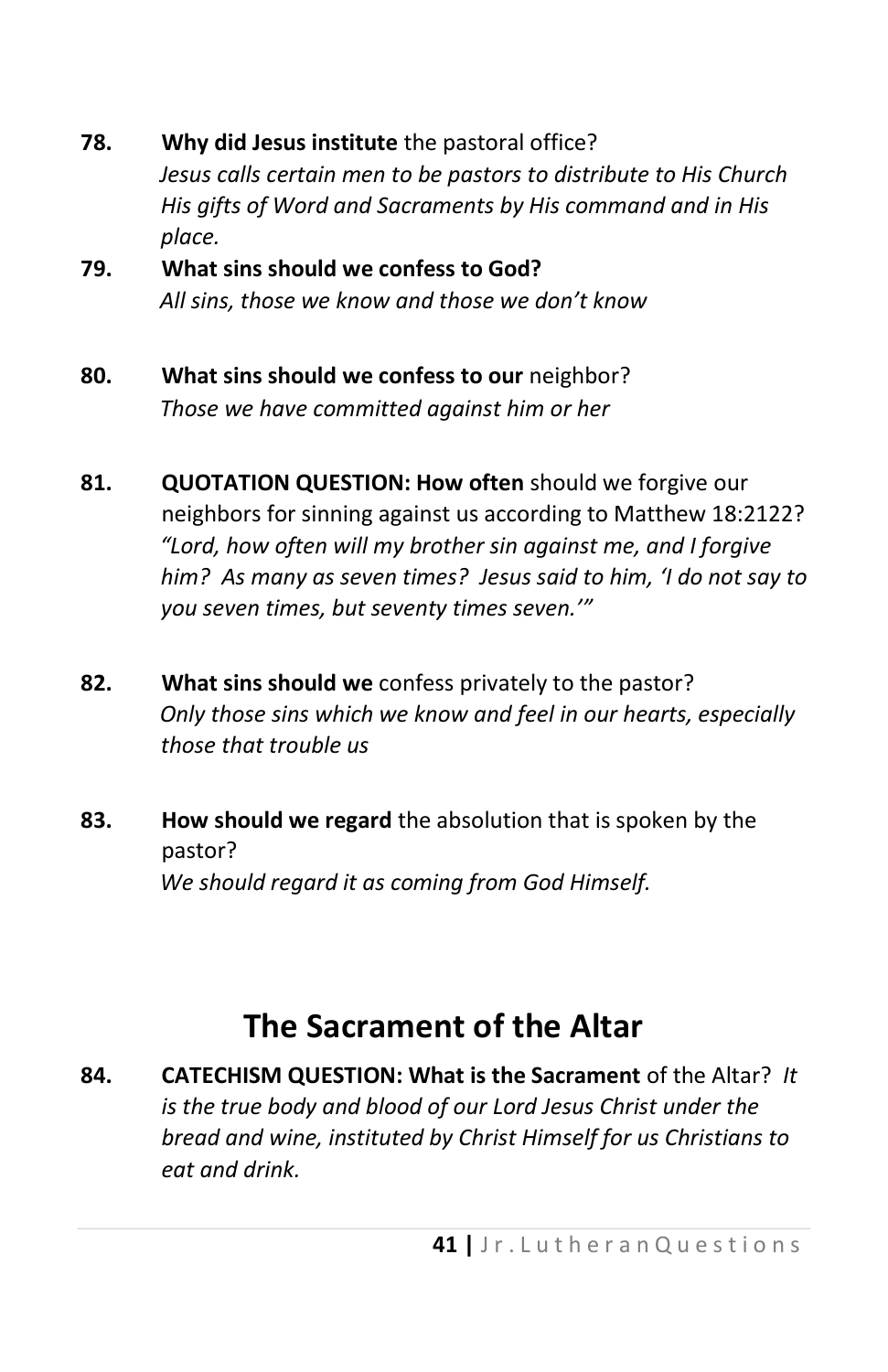- **78. Why did Jesus institute** the pastoral office? *Jesus calls certain men to be pastors to distribute to His Church His gifts of Word and Sacraments by His command and in His place.*  **79. What sins should we confess to God?**
- *All sins, those we know and those we don't know*
- **80. What sins should we confess to our** neighbor? *Those we have committed against him or her*
- **81. QUOTATION QUESTION: How often** should we forgive our neighbors for sinning against us according to Matthew 18:2122? *"Lord, how often will my brother sin against me, and I forgive him? As many as seven times? Jesus said to him, 'I do not say to you seven times, but seventy times seven.'"*
- **82. What sins should we** confess privately to the pastor? *Only those sins which we know and feel in our hearts, especially those that trouble us*
- **83. How should we regard** the absolution that is spoken by the pastor? *We should regard it as coming from God Himself.*

### **The Sacrament of the Altar**

**84. CATECHISM QUESTION: What is the Sacrament** of the Altar? *It is the true body and blood of our Lord Jesus Christ under the bread and wine, instituted by Christ Himself for us Christians to eat and drink.*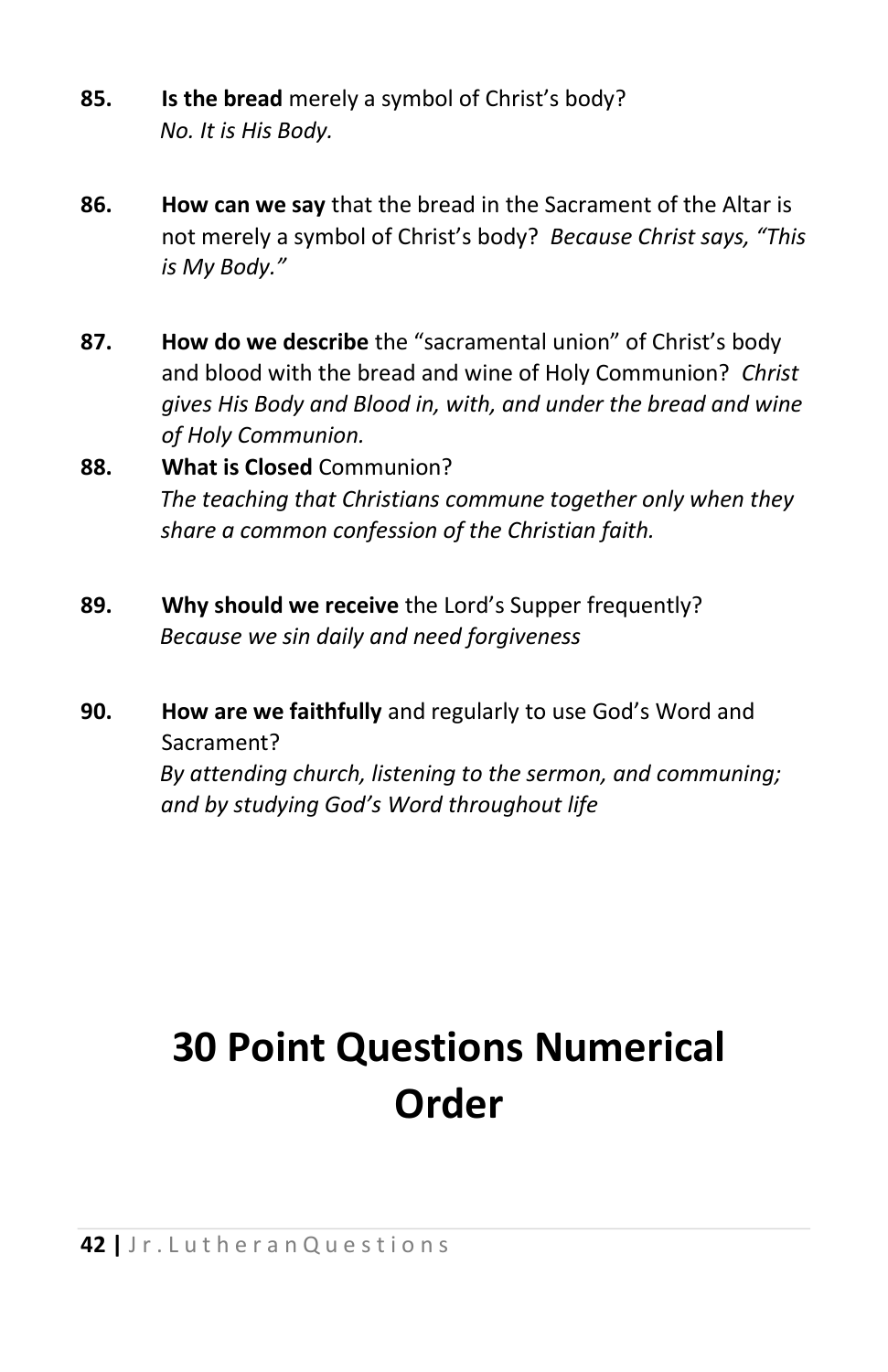- **85. Is the bread** merely a symbol of Christ's body? *No. It is His Body.*
- **86. How can we say** that the bread in the Sacrament of the Altar is not merely a symbol of Christ's body? *Because Christ says, "This is My Body."*
- **87. How do we describe** the "sacramental union" of Christ's body and blood with the bread and wine of Holy Communion? *Christ gives His Body and Blood in, with, and under the bread and wine of Holy Communion.*
- **88. What is Closed** Communion? *The teaching that Christians commune together only when they share a common confession of the Christian faith.*
- **89. Why should we receive** the Lord's Supper frequently? *Because we sin daily and need forgiveness*
- **90. How are we faithfully** and regularly to use God's Word and Sacrament?

*By attending church, listening to the sermon, and communing; and by studying God's Word throughout life* 

# **30 Point Questions Numerical Order**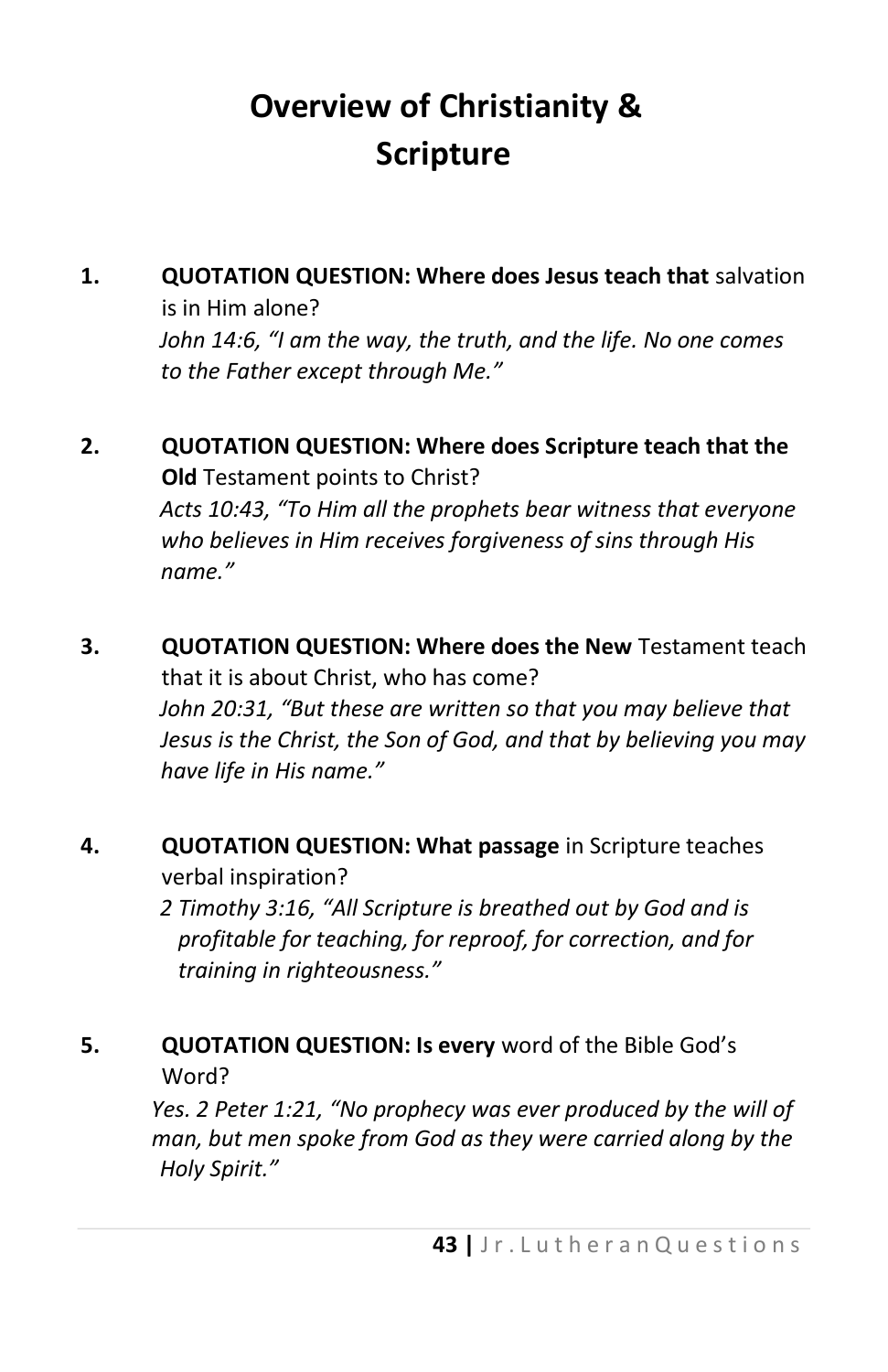### **Overview of Christianity & Scripture**

- **1. QUOTATION QUESTION: Where does Jesus teach that** salvation is in Him alone? *John 14:6, "I am the way, the truth, and the life. No one comes to the Father except through Me."*
- **2. QUOTATION QUESTION: Where does Scripture teach that the Old** Testament points to Christ? *Acts 10:43, "To Him all the prophets bear witness that everyone who believes in Him receives forgiveness of sins through His name."*
- **3. QUOTATION QUESTION: Where does the New** Testament teach that it is about Christ, who has come? *John 20:31, "But these are written so that you may believe that Jesus is the Christ, the Son of God, and that by believing you may have life in His name."*
- **4. QUOTATION QUESTION: What passage** in Scripture teaches verbal inspiration?

*2 Timothy 3:16, "All Scripture is breathed out by God and is profitable for teaching, for reproof, for correction, and for training in righteousness."* 

**5. QUOTATION QUESTION: Is every** word of the Bible God's Word?

> *Yes. 2 Peter 1:21, "No prophecy was ever produced by the will of man, but men spoke from God as they were carried along by the Holy Spirit."*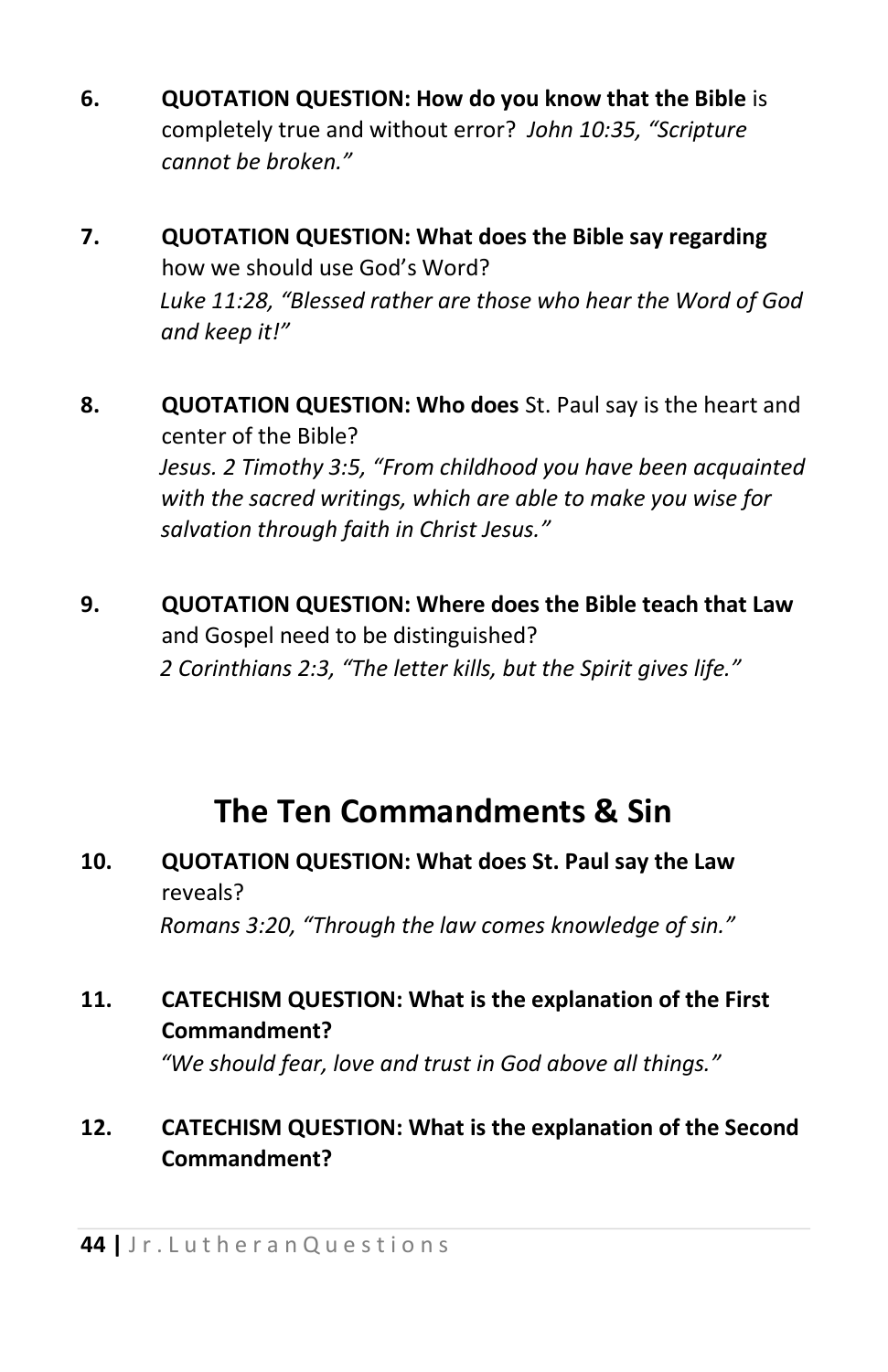- **6. QUOTATION QUESTION: How do you know that the Bible** is completely true and without error? *John 10:35, "Scripture cannot be broken."*
- **7. QUOTATION QUESTION: What does the Bible say regarding** how we should use God's Word? *Luke 11:28, "Blessed rather are those who hear the Word of God and keep it!"*
- **8. QUOTATION QUESTION: Who does** St. Paul say is the heart and center of the Bible? *Jesus. 2 Timothy 3:5, "From childhood you have been acquainted with the sacred writings, which are able to make you wise for salvation through faith in Christ Jesus."*
- **9. QUOTATION QUESTION: Where does the Bible teach that Law** and Gospel need to be distinguished? *2 Corinthians 2:3, "The letter kills, but the Spirit gives life."*

### **The Ten Commandments & Sin**

#### **10. QUOTATION QUESTION: What does St. Paul say the Law** reveals?

*Romans 3:20, "Through the law comes knowledge of sin."* 

#### **11. CATECHISM QUESTION: What is the explanation of the First Commandment?**

*"We should fear, love and trust in God above all things."* 

#### **12. CATECHISM QUESTION: What is the explanation of the Second Commandment?**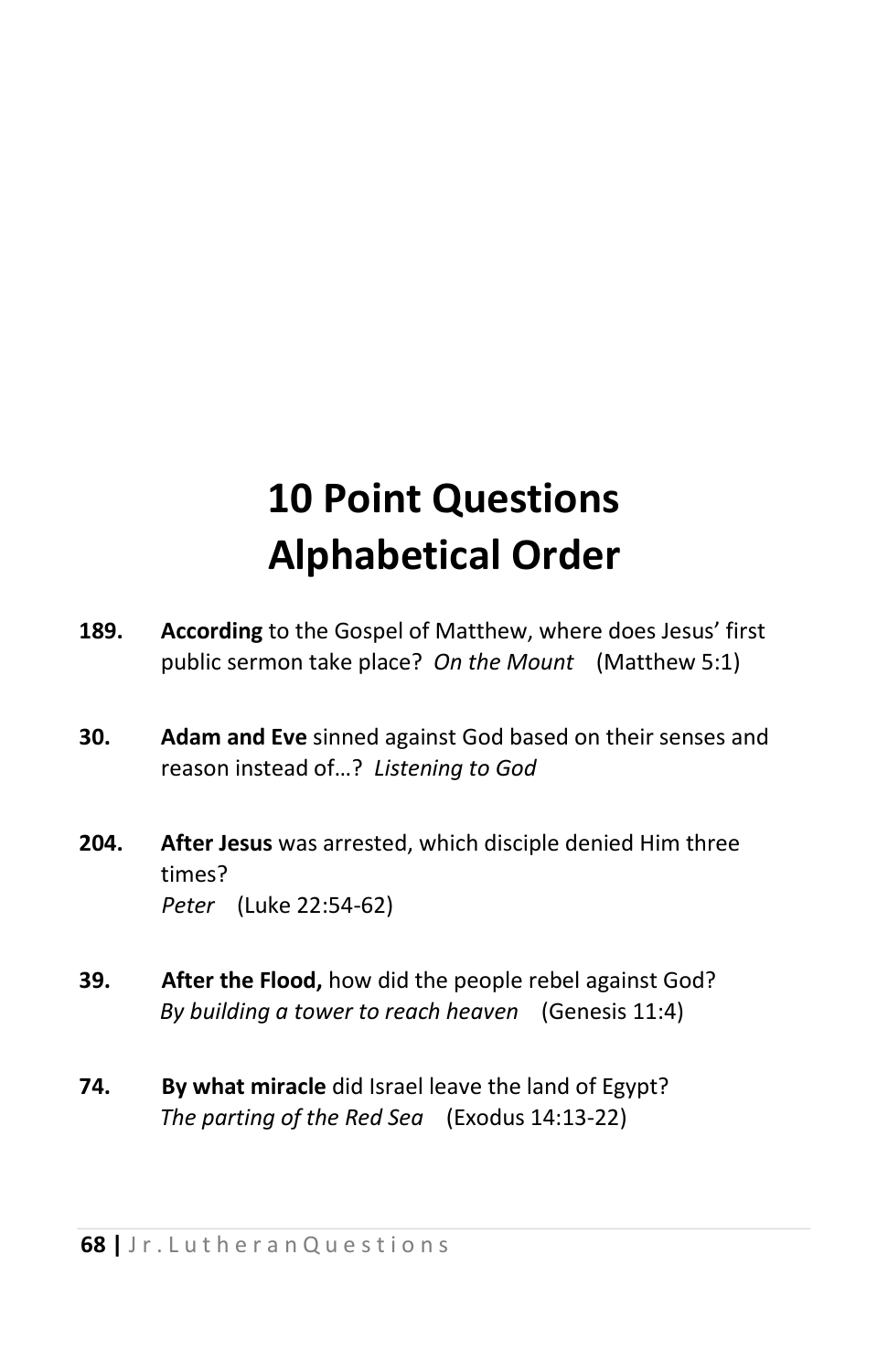## **10 Point Questions Alphabetical Order**

- **189. According** to the Gospel of Matthew, where does Jesus' first public sermon take place? *On the Mount* (Matthew 5:1)
- **30. Adam and Eve** sinned against God based on their senses and reason instead of…? *Listening to God*
- **204. After Jesus** was arrested, which disciple denied Him three times? *Peter* (Luke 22:54-62)
- **39. After the Flood,** how did the people rebel against God? *By building a tower to reach heaven* (Genesis 11:4)
- **74. By what miracle** did Israel leave the land of Egypt? *The parting of the Red Sea* (Exodus 14:13-22)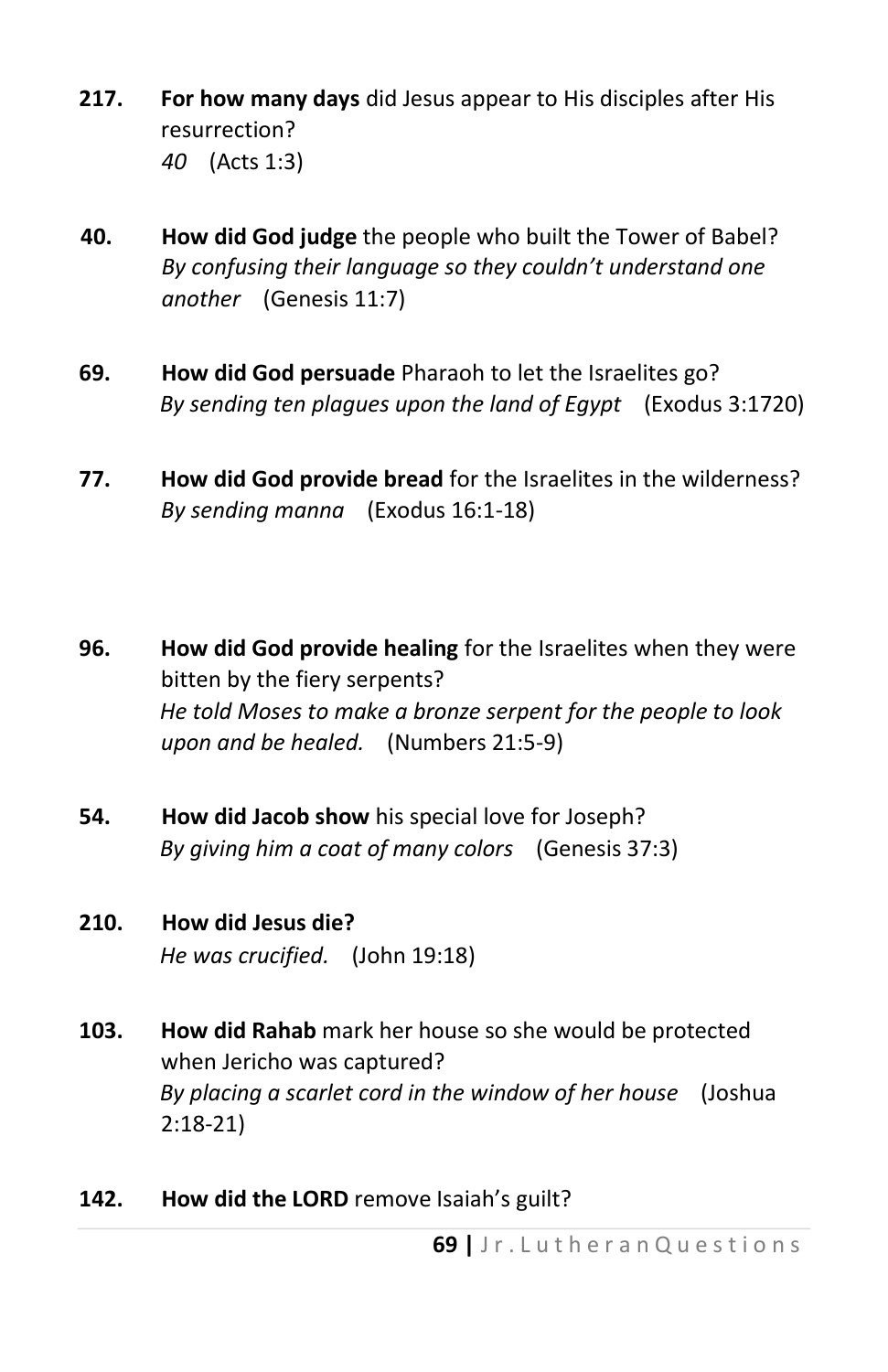- **217. For how many days** did Jesus appear to His disciples after His resurrection? *40* (Acts 1:3)
- **40. How did God judge** the people who built the Tower of Babel? *By confusing their language so they couldn't understand one another* (Genesis 11:7)
- **69. How did God persuade** Pharaoh to let the Israelites go? *By sending ten plagues upon the land of Egypt* (Exodus 3:1720)
- **77. How did God provide bread** for the Israelites in the wilderness? *By sending manna* (Exodus 16:1-18)
- **96. How did God provide healing** for the Israelites when they were bitten by the fiery serpents? *He told Moses to make a bronze serpent for the people to look upon and be healed.* (Numbers 21:5-9)
- **54. How did Jacob show** his special love for Joseph? *By giving him a coat of many colors* (Genesis 37:3)
- **210. How did Jesus die?** *He was crucified.* (John 19:18)
- **103. How did Rahab** mark her house so she would be protected when Jericho was captured? *By placing a scarlet cord in the window of her house* (Joshua 2:18-21)
- **142. How did the LORD** remove Isaiah's guilt?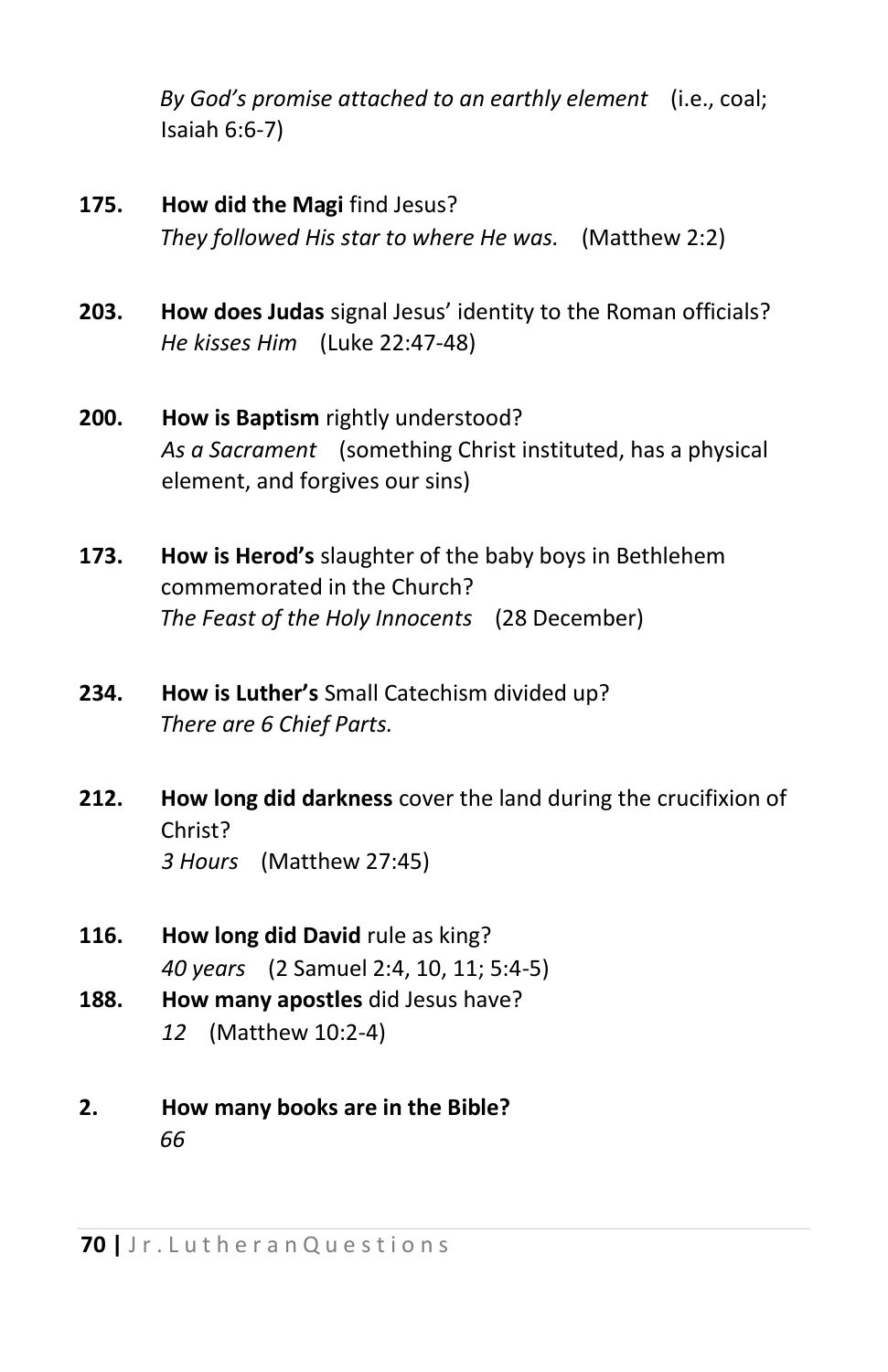*By God's promise attached to an earthly element* (i.e., coal; Isaiah 6:6-7)

- **175. How did the Magi** find Jesus? *They followed His star to where He was.* (Matthew 2:2)
- **203. How does Judas** signal Jesus' identity to the Roman officials? *He kisses Him* (Luke 22:47-48)
- **200. How is Baptism** rightly understood? *As a Sacrament* (something Christ instituted, has a physical element, and forgives our sins)
- **173. How is Herod's** slaughter of the baby boys in Bethlehem commemorated in the Church? *The Feast of the Holy Innocents* (28 December)
- **234. How is Luther's** Small Catechism divided up? *There are 6 Chief Parts.*
- **212. How long did darkness** cover the land during the crucifixion of Christ? *3 Hours* (Matthew 27:45)
- **116. How long did David** rule as king? *40 years* (2 Samuel 2:4, 10, 11; 5:4-5)
- **188. How many apostles** did Jesus have? *12* (Matthew 10:2-4)
- **2. How many books are in the Bible?** *66*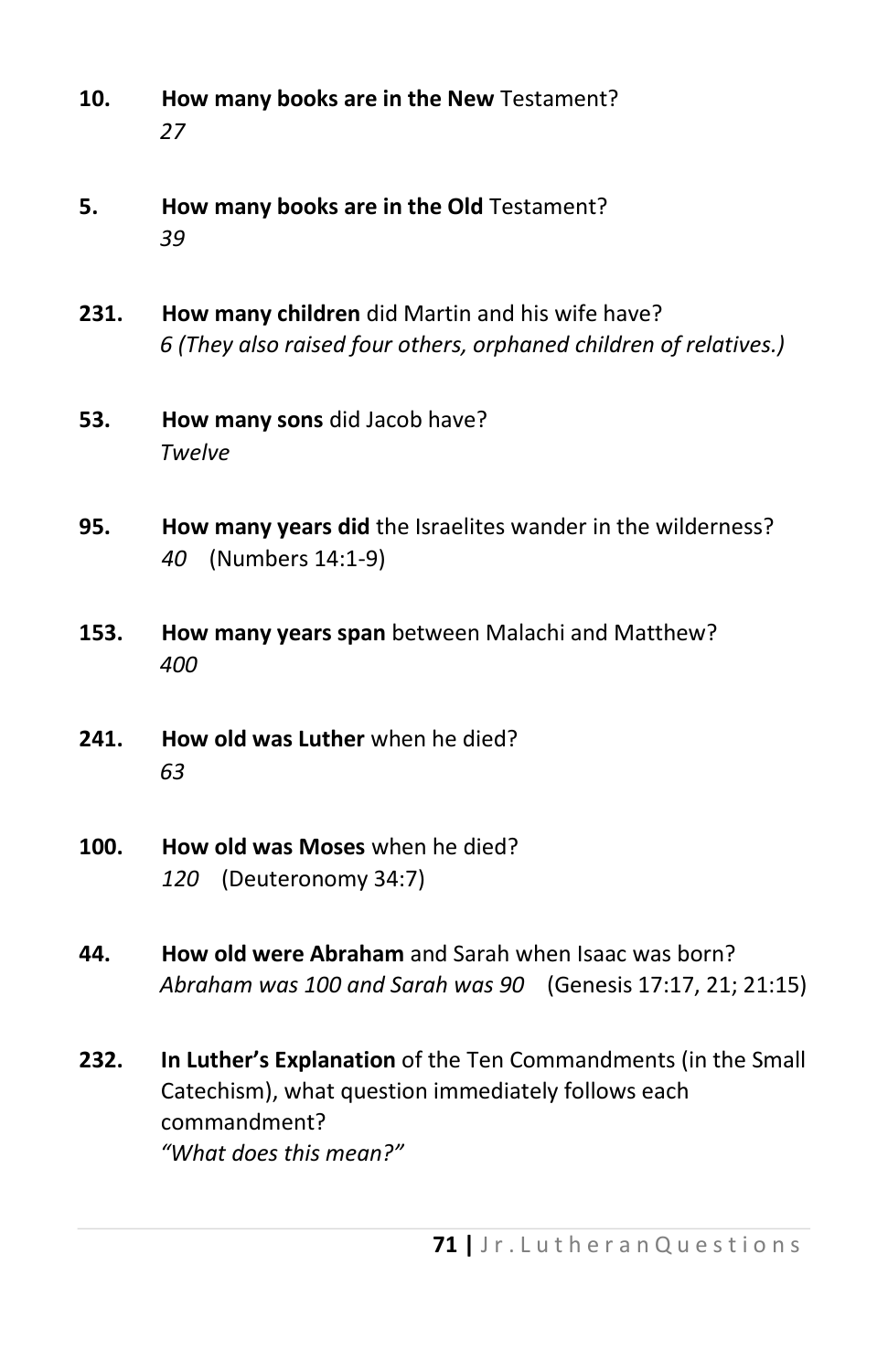- **10. How many books are in the New** Testament? *27*
- **5. How many books are in the Old** Testament? *39*
- **231. How many children** did Martin and his wife have? *6 (They also raised four others, orphaned children of relatives.)*
- **53. How many sons** did Jacob have? *Twelve*
- **95. How many years did** the Israelites wander in the wilderness? *40* (Numbers 14:1-9)
- **153. How many years span** between Malachi and Matthew? *400*
- **241. How old was Luther** when he died? *63*
- **100. How old was Moses** when he died? *120* (Deuteronomy 34:7)
- **44. How old were Abraham** and Sarah when Isaac was born? *Abraham was 100 and Sarah was 90* (Genesis 17:17, 21; 21:15)
- **232. In Luther's Explanation** of the Ten Commandments (in the Small Catechism), what question immediately follows each commandment? *"What does this mean?"*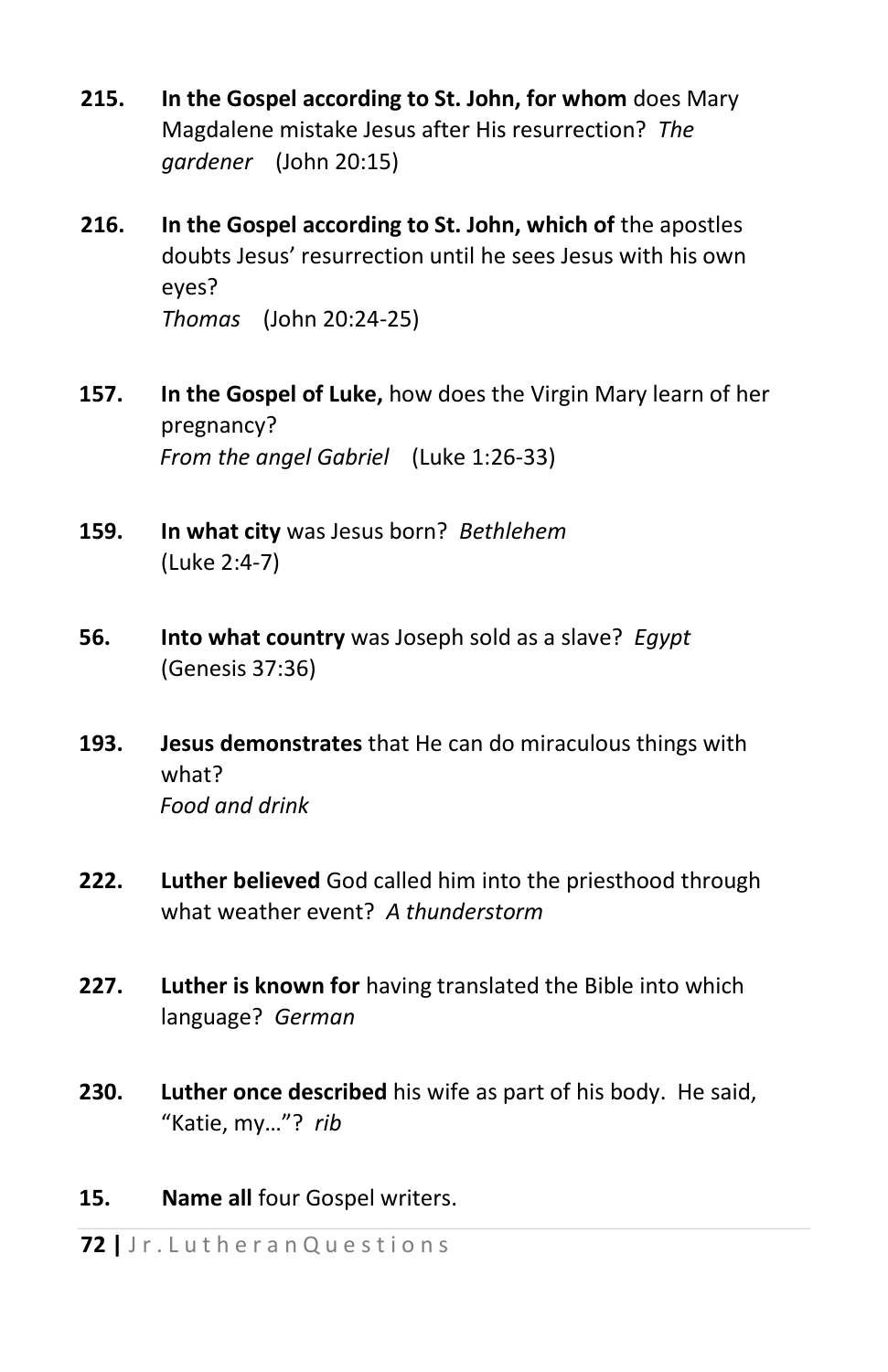- **215. In the Gospel according to St. John, for whom** does Mary Magdalene mistake Jesus after His resurrection? *The gardener* (John 20:15)
- **216. In the Gospel according to St. John, which of** the apostles doubts Jesus' resurrection until he sees Jesus with his own eyes? *Thomas* (John 20:24-25)
- **157. In the Gospel of Luke,** how does the Virgin Mary learn of her pregnancy? *From the angel Gabriel* (Luke 1:26-33)
- **159. In what city** was Jesus born? *Bethlehem*  (Luke 2:4-7)
- **56. Into what country** was Joseph sold as a slave? *Egypt*  (Genesis 37:36)
- **193. Jesus demonstrates** that He can do miraculous things with what? *Food and drink*
- **222. Luther believed** God called him into the priesthood through what weather event? *A thunderstorm*
- **227. Luther is known for** having translated the Bible into which language? *German*
- **230. Luther once described** his wife as part of his body. He said, "Katie, my…"? *rib*
- **15. Name all** four Gospel writers.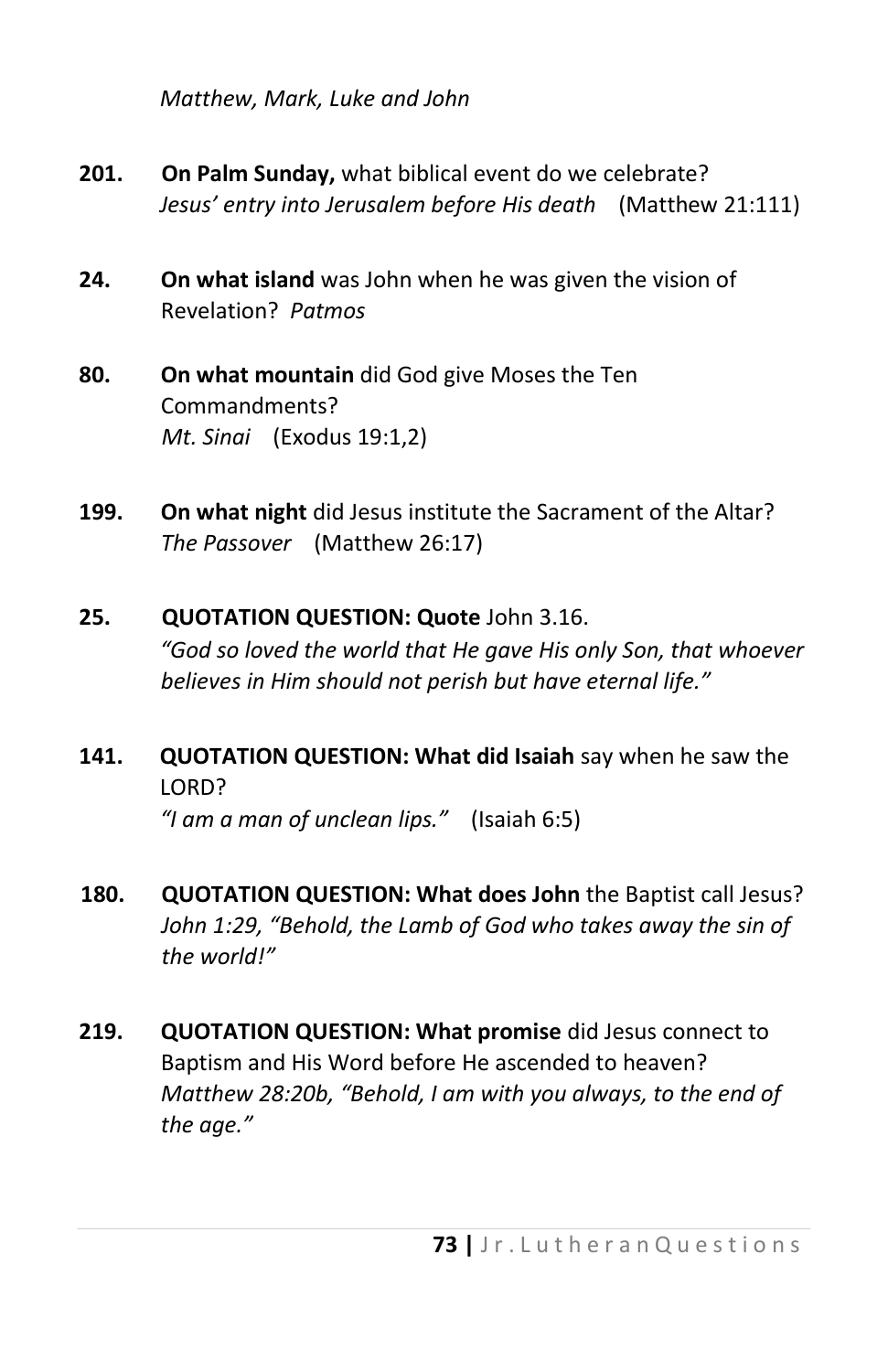*Matthew, Mark, Luke and John* 

- **201. On Palm Sunday,** what biblical event do we celebrate? *Jesus' entry into Jerusalem before His death* (Matthew 21:111)
- **24. On what island** was John when he was given the vision of Revelation? *Patmos*
- **80. On what mountain** did God give Moses the Ten Commandments? *Mt. Sinai* (Exodus 19:1,2)
- **199. On what night** did Jesus institute the Sacrament of the Altar? *The Passover* (Matthew 26:17)
- **25. QUOTATION QUESTION: Quote** John 3.16. *"God so loved the world that He gave His only Son, that whoever believes in Him should not perish but have eternal life."*
- **141. QUOTATION QUESTION: What did Isaiah** say when he saw the LORD? *"I am a man of unclean lips."* (Isaiah 6:5)
- **180. QUOTATION QUESTION: What does John** the Baptist call Jesus? *John 1:29, "Behold, the Lamb of God who takes away the sin of the world!"*
- **219. QUOTATION QUESTION: What promise** did Jesus connect to Baptism and His Word before He ascended to heaven? *Matthew 28:20b, "Behold, I am with you always, to the end of the age."*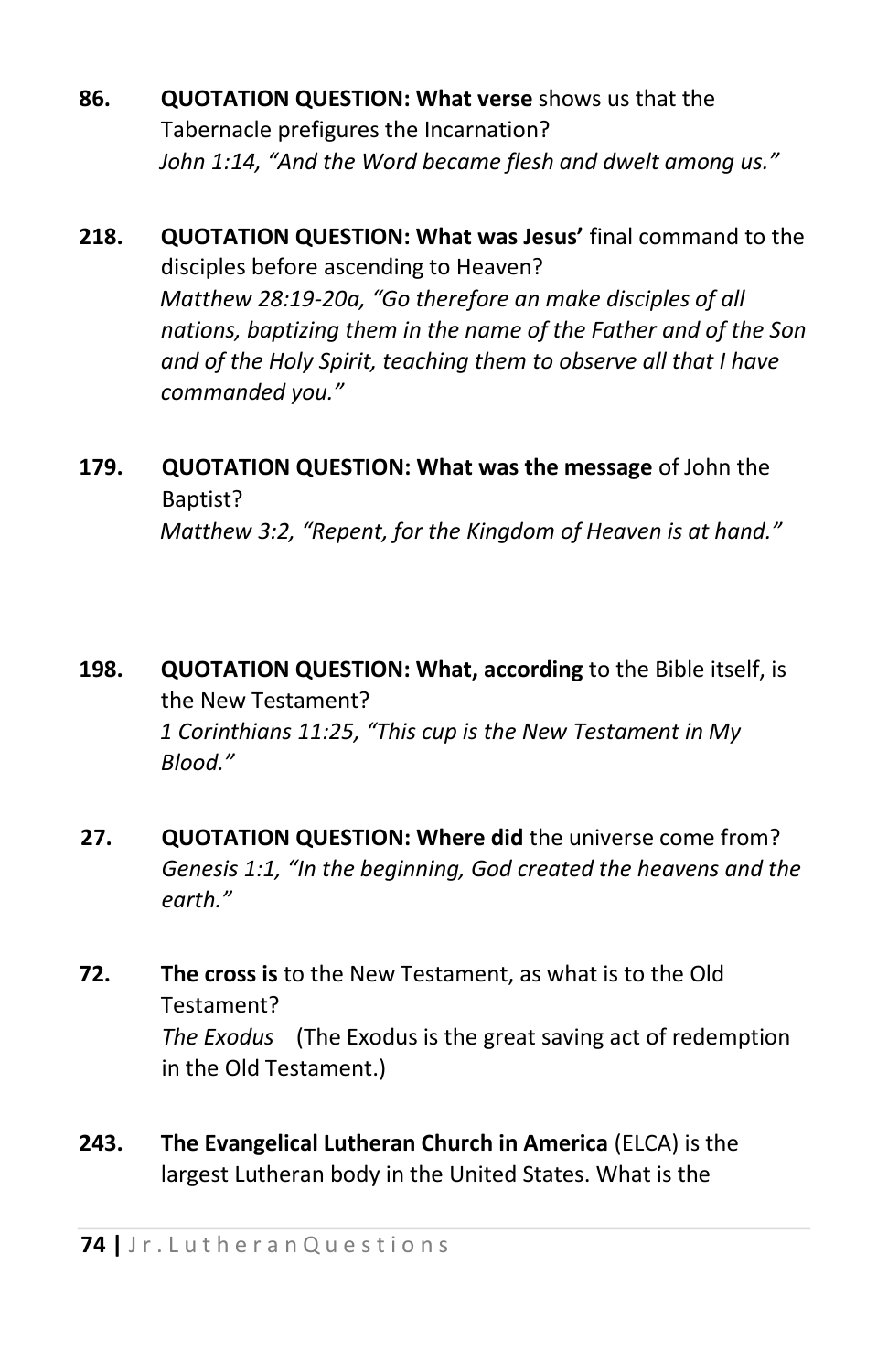- **86. QUOTATION QUESTION: What verse** shows us that the Tabernacle prefigures the Incarnation? *John 1:14, "And the Word became flesh and dwelt among us."*
- **218. QUOTATION QUESTION: What was Jesus'** final command to the disciples before ascending to Heaven? *Matthew 28:19-20a, "Go therefore an make disciples of all nations, baptizing them in the name of the Father and of the Son and of the Holy Spirit, teaching them to observe all that I have commanded you."*
- **179. QUOTATION QUESTION: What was the message** of John the Baptist?

*Matthew 3:2, "Repent, for the Kingdom of Heaven is at hand."* 

- **198. QUOTATION QUESTION: What, according** to the Bible itself, is the New Testament? *1 Corinthians 11:25, "This cup is the New Testament in My Blood."*
- **27. QUOTATION QUESTION: Where did** the universe come from? *Genesis 1:1, "In the beginning, God created the heavens and the earth."*
- **72. The cross is** to the New Testament, as what is to the Old Testament? *The Exodus* (The Exodus is the great saving act of redemption in the Old Testament.)
- **243. The Evangelical Lutheran Church in America** (ELCA) is the largest Lutheran body in the United States. What is the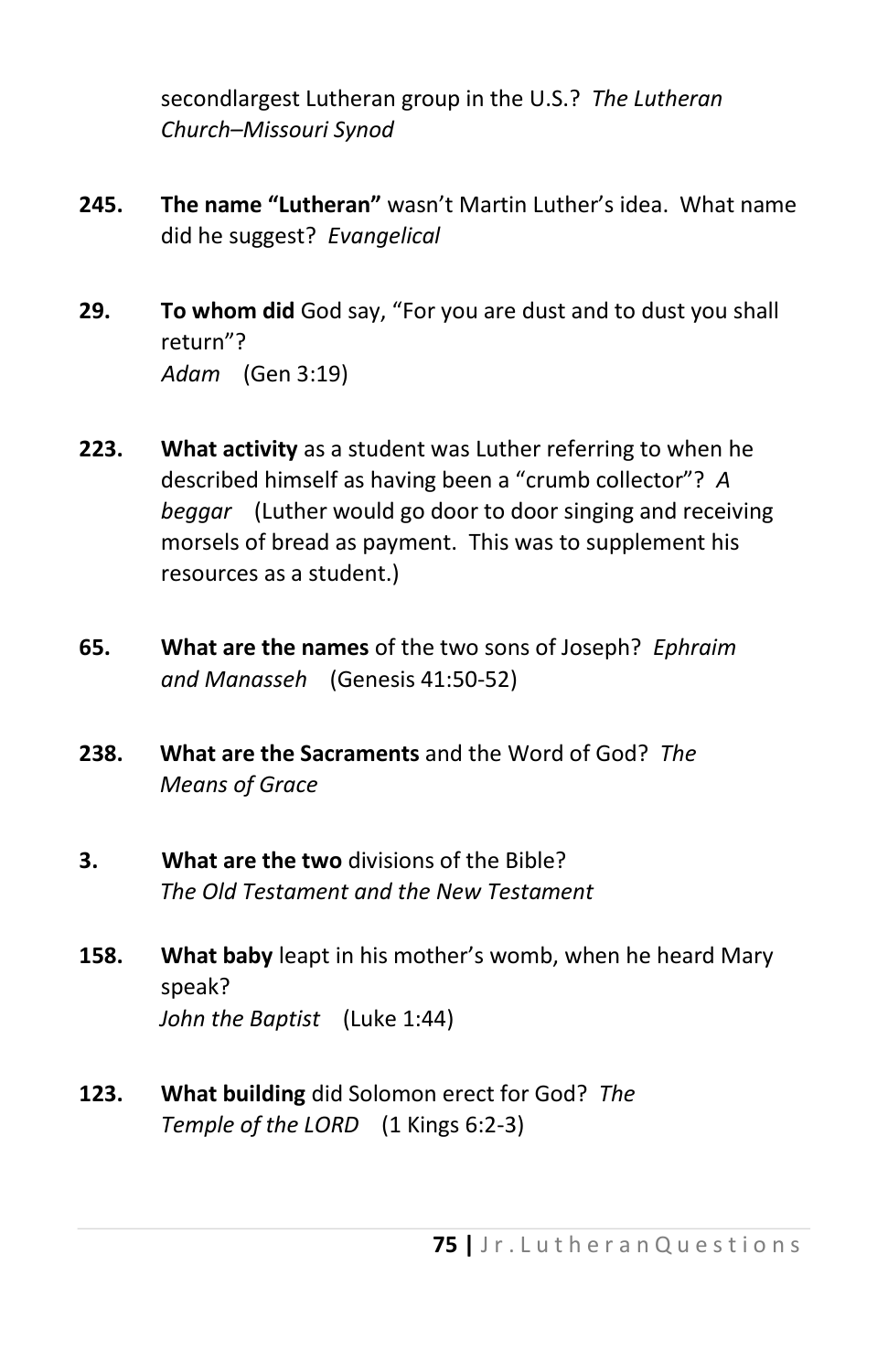secondlargest Lutheran group in the U.S.? *The Lutheran Church–Missouri Synod* 

- **245. The name "Lutheran"** wasn't Martin Luther's idea. What name did he suggest? *Evangelical*
- **29. To whom did** God say, "For you are dust and to dust you shall return"? *Adam* (Gen 3:19)
- **223. What activity** as a student was Luther referring to when he described himself as having been a "crumb collector"? *A beggar* (Luther would go door to door singing and receiving morsels of bread as payment. This was to supplement his resources as a student.)
- **65. What are the names** of the two sons of Joseph? *Ephraim and Manasseh* (Genesis 41:50-52)
- **238. What are the Sacraments** and the Word of God? *The Means of Grace*
- **3. What are the two** divisions of the Bible? *The Old Testament and the New Testament*
- **158. What baby** leapt in his mother's womb, when he heard Mary speak? *John the Baptist* (Luke 1:44)
- **123. What building** did Solomon erect for God? *The Temple of the LORD* (1 Kings 6:2-3)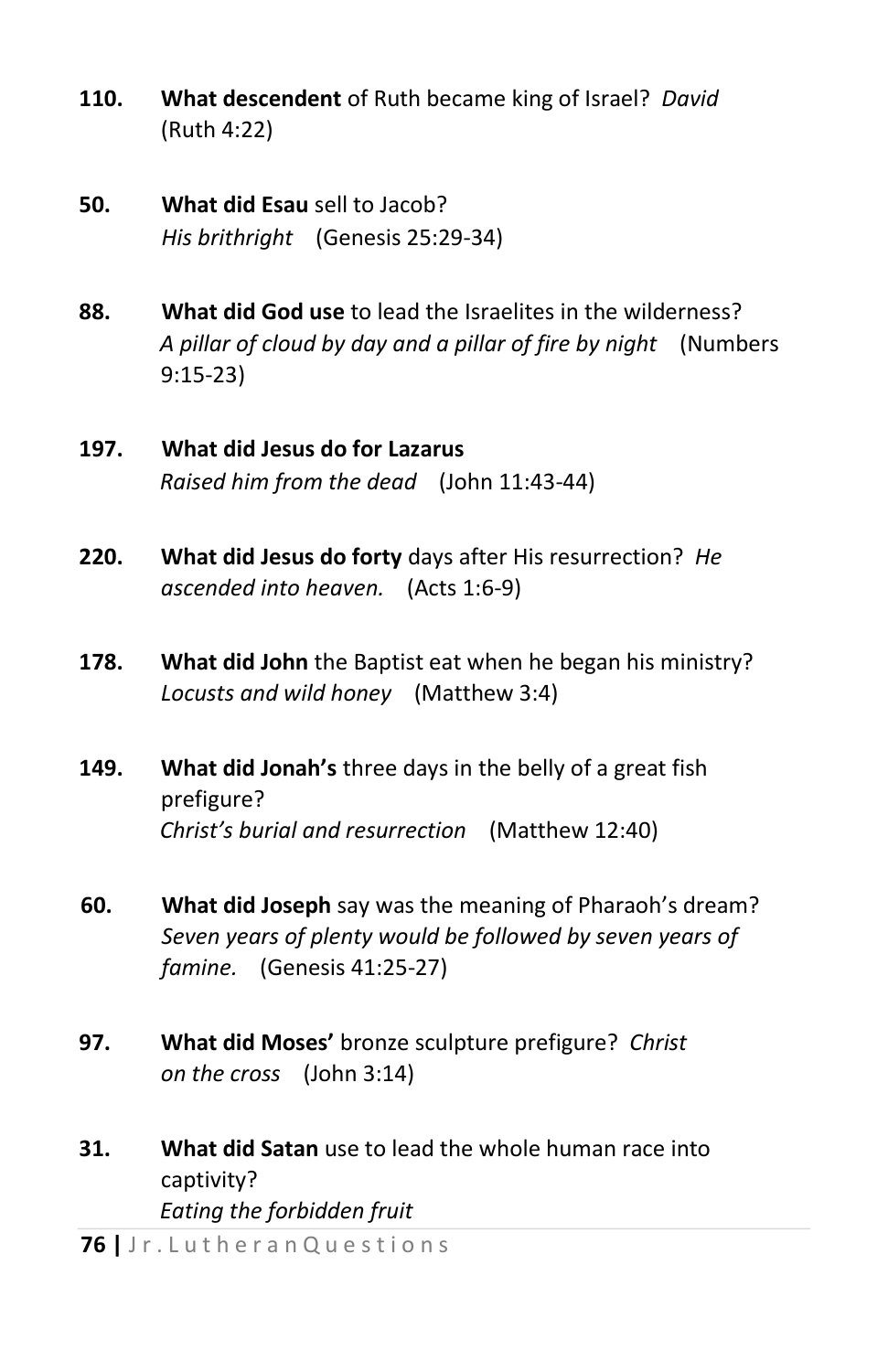- **110. What descendent** of Ruth became king of Israel? *David*  (Ruth 4:22)
- **50. What did Esau** sell to Jacob? *His brithright* (Genesis 25:29-34)
- **88. What did God use** to lead the Israelites in the wilderness? *A pillar of cloud by day and a pillar of fire by night* (Numbers 9:15-23)
- **197. What did Jesus do for Lazarus** *Raised him from the dead* (John 11:43-44)
- **220. What did Jesus do forty** days after His resurrection? *He ascended into heaven.* (Acts 1:6-9)
- **178. What did John** the Baptist eat when he began his ministry? *Locusts and wild honey* (Matthew 3:4)
- **149. What did Jonah's** three days in the belly of a great fish prefigure? *Christ's burial and resurrection* (Matthew 12:40)
- **60. What did Joseph** say was the meaning of Pharaoh's dream? *Seven years of plenty would be followed by seven years of famine.* (Genesis 41:25-27)
- **97. What did Moses'** bronze sculpture prefigure? *Christ on the cross* (John 3:14)
- **31. What did Satan** use to lead the whole human race into captivity? *Eating the forbidden fruit*

**76 |** J r . L u t h e r a n Q u e s t i o n s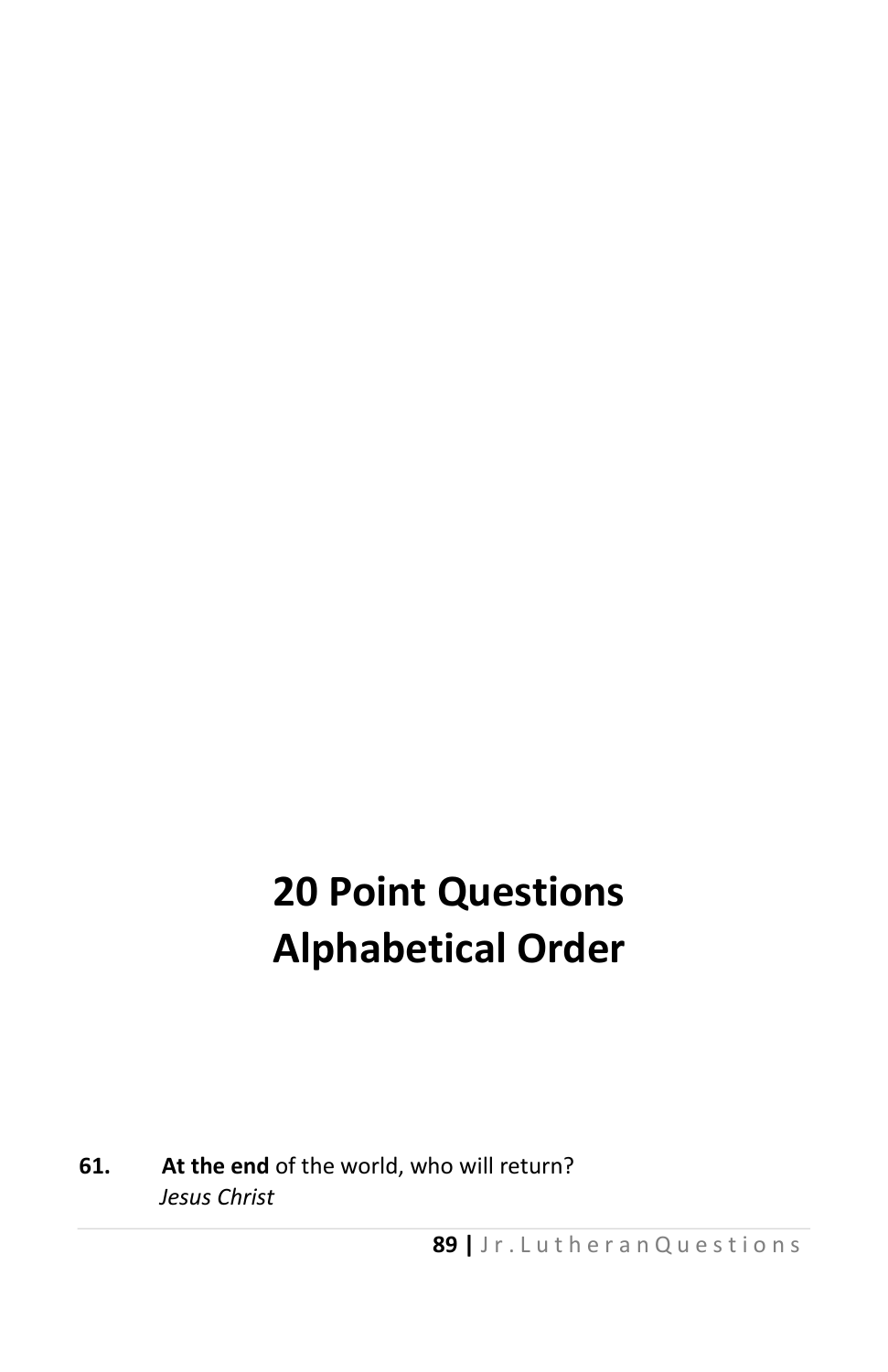## **20 Point Questions Alphabetical Order**

**61. At the end** of the world, who will return? *Jesus Christ*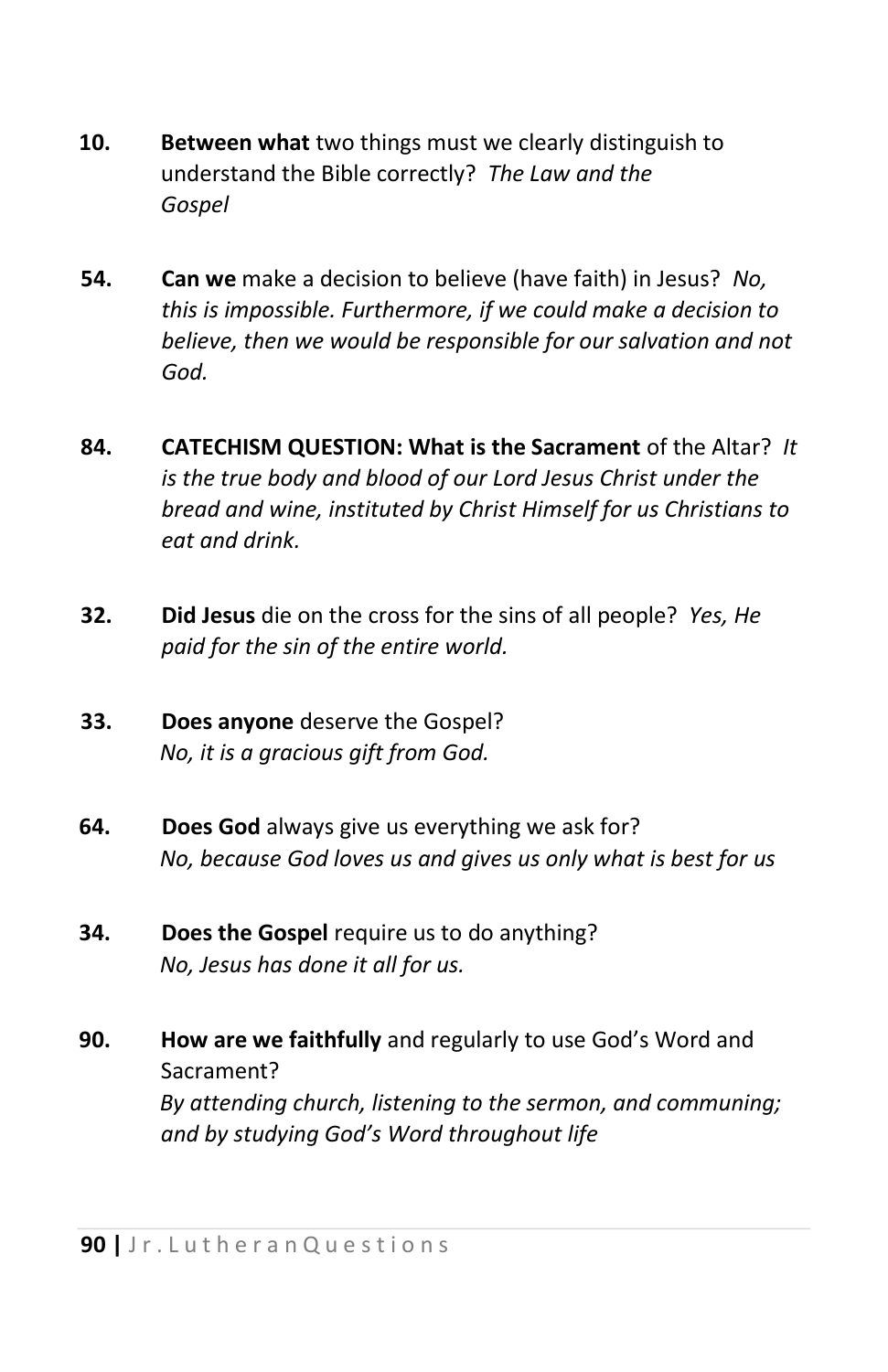- **10. Between what** two things must we clearly distinguish to understand the Bible correctly? *The Law and the Gospel*
- **54. Can we** make a decision to believe (have faith) in Jesus? *No, this is impossible. Furthermore, if we could make a decision to believe, then we would be responsible for our salvation and not God.*
- **84. CATECHISM QUESTION: What is the Sacrament** of the Altar? *It is the true body and blood of our Lord Jesus Christ under the bread and wine, instituted by Christ Himself for us Christians to eat and drink.*
- **32. Did Jesus** die on the cross for the sins of all people? *Yes, He paid for the sin of the entire world.*
- **33. Does anyone** deserve the Gospel? *No, it is a gracious gift from God.*
- **64. Does God** always give us everything we ask for? *No, because God loves us and gives us only what is best for us*
- **34. Does the Gospel** require us to do anything? *No, Jesus has done it all for us.*
- **90. How are we faithfully** and regularly to use God's Word and Sacrament? *By attending church, listening to the sermon, and communing; and by studying God's Word throughout life*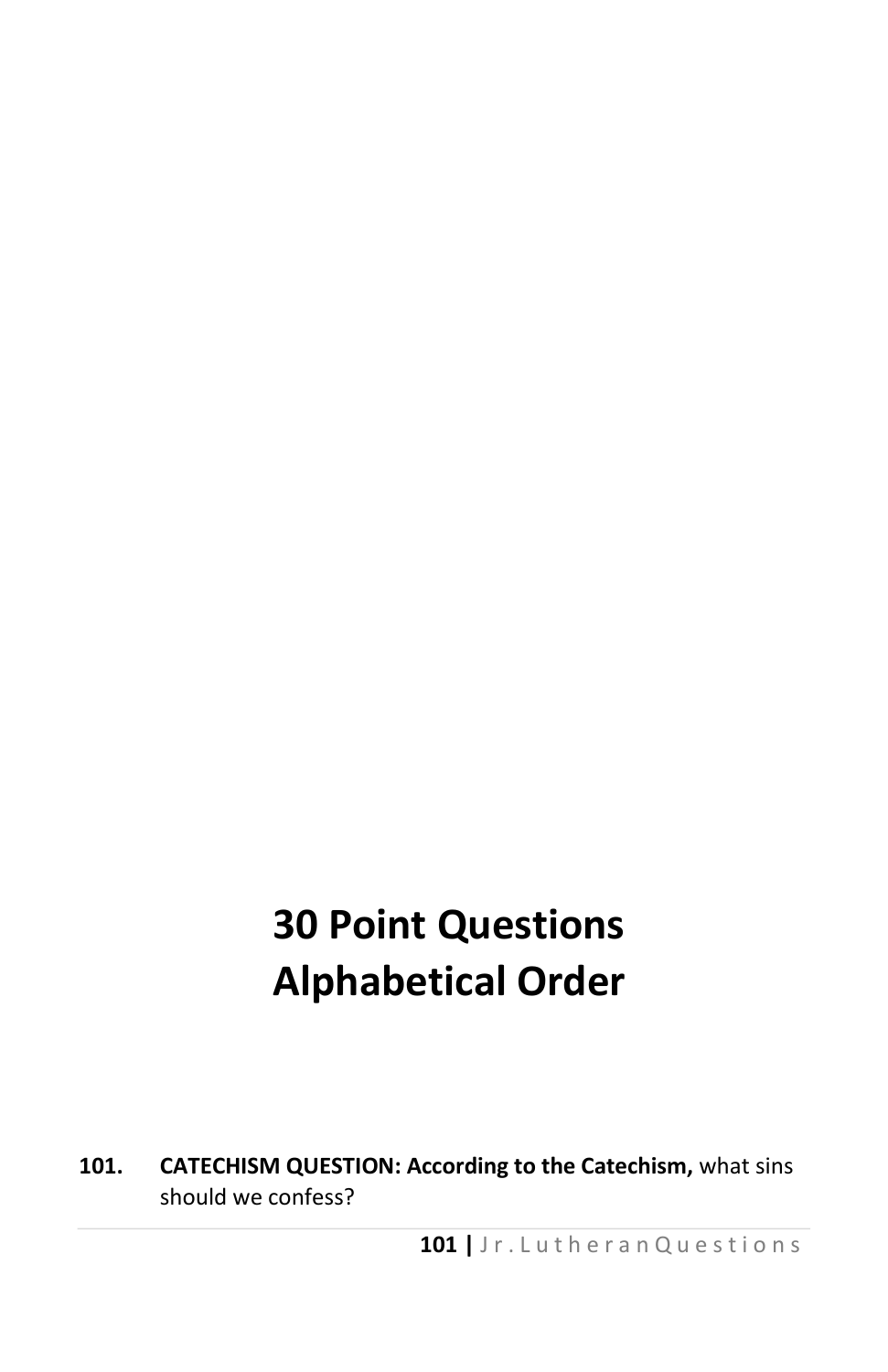# **30 Point Questions Alphabetical Order**

**101. CATECHISM QUESTION: According to the Catechism,** what sins should we confess?